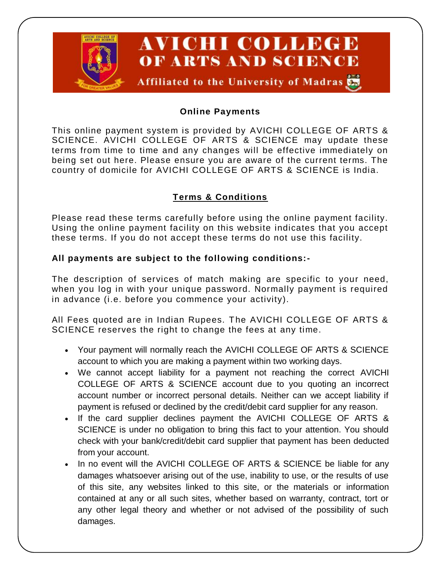

## **Online Payments**

This online payment system is provided by AVICHI COLLEGE OF ARTS & SCIENCE. AVICHI COLLEGE OF ARTS & SCIENCE may update these terms from time to time and any changes will be effective immediately on being set out here. Please ensure you are aware of the current terms. The country of domicile for AVICHI COLLEGE OF ARTS & SCIENCE is India.

# **Terms & Conditions**

Please read these terms carefully before using the online payment facility. Using the online payment facility on this website indicates that you accept these terms. If you do not accept these terms do not use this facility.

### **All payments are subject to the following conditions:-**

The description of services of match making are specific to your need, when you log in with your unique password. Normally payment is required in advance (i.e. before you commence your activity).

All Fees quoted are in Indian Rupees. The AVICHI COLLEGE OF ARTS & SCIENCE reserves the right to change the fees at any time.

- Your payment will normally reach the AVICHI COLLEGE OF ARTS & SCIENCE account to which you are making a payment within two working days.
- We cannot accept liability for a payment not reaching the correct AVICHI COLLEGE OF ARTS & SCIENCE account due to you quoting an incorrect account number or incorrect personal details. Neither can we accept liability if payment is refused or declined by the credit/debit card supplier for any reason.
- If the card supplier declines payment the AVICHI COLLEGE OF ARTS & SCIENCE is under no obligation to bring this fact to your attention. You should check with your bank/credit/debit card supplier that payment has been deducted from your account.
- In no event will the AVICHI COLLEGE OF ARTS & SCIENCE be liable for any damages whatsoever arising out of the use, inability to use, or the results of use of this site, any websites linked to this site, or the materials or information contained at any or all such sites, whether based on warranty, contract, tort or any other legal theory and whether or not advised of the possibility of such damages.